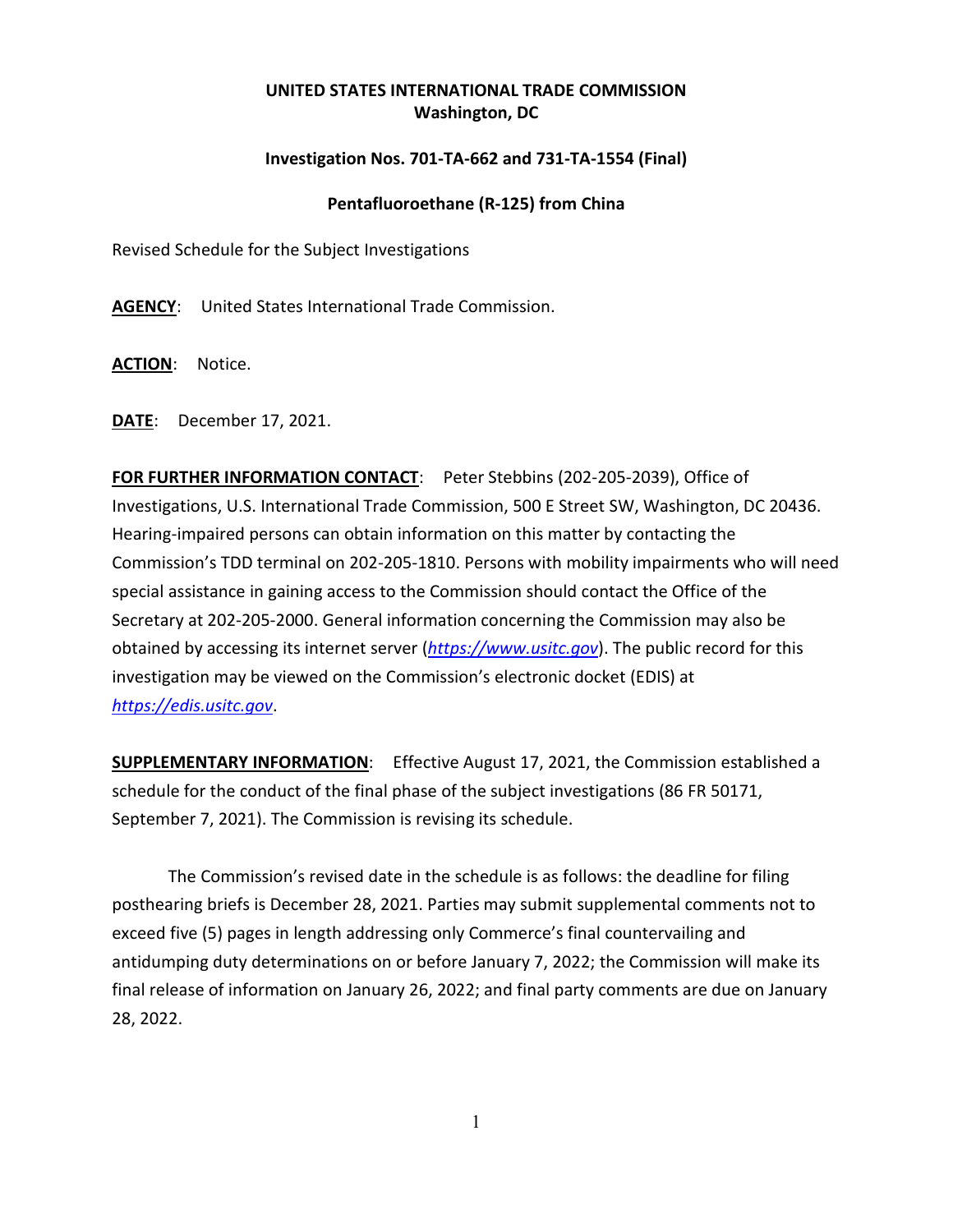## **UNITED STATES INTERNATIONAL TRADE COMMISSION Washington, DC**

## **Investigation Nos. 701-TA-662 and 731-TA-1554 (Final)**

## **Pentafluoroethane (R-125) from China**

Revised Schedule for the Subject Investigations

**AGENCY**: United States International Trade Commission.

**ACTION**: Notice.

**DATE**: December 17, 2021.

**FOR FURTHER INFORMATION CONTACT**: Peter Stebbins (202-205-2039), Office of Investigations, U.S. International Trade Commission, 500 E Street SW, Washington, DC 20436. Hearing-impaired persons can obtain information on this matter by contacting the Commission's TDD terminal on 202-205-1810. Persons with mobility impairments who will need special assistance in gaining access to the Commission should contact the Office of the Secretary at 202-205-2000. General information concerning the Commission may also be obtained by accessing its internet server (*[https://www.usitc.gov](https://www.usitc.gov/)*). The public record for this investigation may be viewed on the Commission's electronic docket (EDIS) at *[https://edis.usitc.gov](https://edis.usitc.gov/)*.

**SUPPLEMENTARY INFORMATION**: Effective August 17, 2021, the Commission established a schedule for the conduct of the final phase of the subject investigations (86 FR 50171, September 7, 2021). The Commission is revising its schedule.

The Commission's revised date in the schedule is as follows: the deadline for filing posthearing briefs is December 28, 2021. Parties may submit supplemental comments not to exceed five (5) pages in length addressing only Commerce's final countervailing and antidumping duty determinations on or before January 7, 2022; the Commission will make its final release of information on January 26, 2022; and final party comments are due on January 28, 2022.